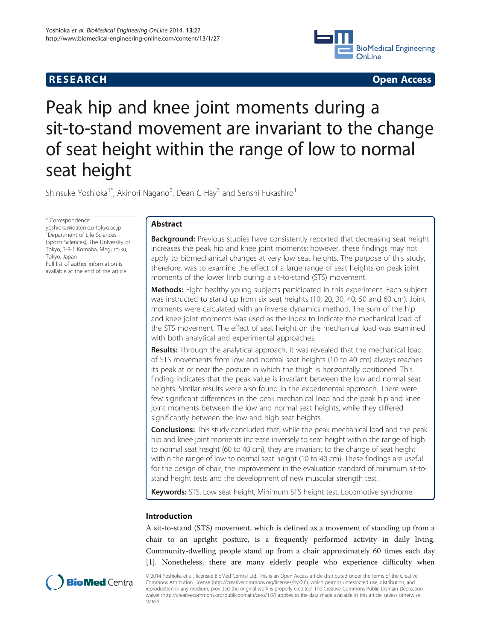# **RESEARCH RESEARCH CONSUMING ACCESS**



# Peak hip and knee joint moments during a sit-to-stand movement are invariant to the change of seat height within the range of low to normal seat height

Shinsuke Yoshioka<sup>1\*</sup>, Akinori Nagano<sup>2</sup>, Dean C Hay<sup>3</sup> and Senshi Fukashiro<sup>1</sup>

\* Correspondence:

[yoshioka@idaten.c.u-tokyo.ac.jp](mailto:yoshioka@idaten.c.u-tokyo.ac.jp) <sup>1</sup>Department of Life Sciences (Sports Sciences), The University of Tokyo, 3-8-1 Komaba, Meguro-ku, Tokyo, Japan Full list of author information is

available at the end of the article

# Abstract

**Background:** Previous studies have consistently reported that decreasing seat height increases the peak hip and knee joint moments; however, these findings may not apply to biomechanical changes at very low seat heights. The purpose of this study, therefore, was to examine the effect of a large range of seat heights on peak joint moments of the lower limb during a sit-to-stand (STS) movement.

**Methods:** Eight healthy young subjects participated in this experiment. Each subject was instructed to stand up from six seat heights (10, 20, 30, 40, 50 and 60 cm). Joint moments were calculated with an inverse dynamics method. The sum of the hip and knee joint moments was used as the index to indicate the mechanical load of the STS movement. The effect of seat height on the mechanical load was examined with both analytical and experimental approaches.

Results: Through the analytical approach, it was revealed that the mechanical load of STS movements from low and normal seat heights (10 to 40 cm) always reaches its peak at or near the posture in which the thigh is horizontally positioned. This finding indicates that the peak value is invariant between the low and normal seat heights. Similar results were also found in the experimental approach. There were few significant differences in the peak mechanical load and the peak hip and knee joint moments between the low and normal seat heights, while they differed significantly between the low and high seat heights.

**Conclusions:** This study concluded that, while the peak mechanical load and the peak hip and knee joint moments increase inversely to seat height within the range of high to normal seat height (60 to 40 cm), they are invariant to the change of seat height within the range of low to normal seat height (10 to 40 cm). These findings are useful for the design of chair, the improvement in the evaluation standard of minimum sit-tostand height tests and the development of new muscular strength test.

**Keywords:** STS, Low seat height, Minimum STS height test, Locomotive syndrome

# Introduction

A sit-to-stand (STS) movement, which is defined as a movement of standing up from a chair to an upright posture, is a frequently performed activity in daily living. Community-dwelling people stand up from a chair approximately 60 times each day [[1\]](#page-11-0). Nonetheless, there are many elderly people who experience difficulty when



© 2014 Yoshioka et al.; licensee BioMed Central Ltd. This is an Open Access article distributed under the terms of the Creative Commons Attribution License [\(http://creativecommons.org/licenses/by/2.0\)](http://creativecommons.org/licenses/by/2.0), which permits unrestricted use, distribution, and reproduction in any medium, provided the original work is properly credited. The Creative Commons Public Domain Dedication waiver [\(http://creativecommons.org/publicdomain/zero/1.0/\)](http://creativecommons.org/publicdomain/zero/1.0/) applies to the data made available in this article, unless otherwise stated.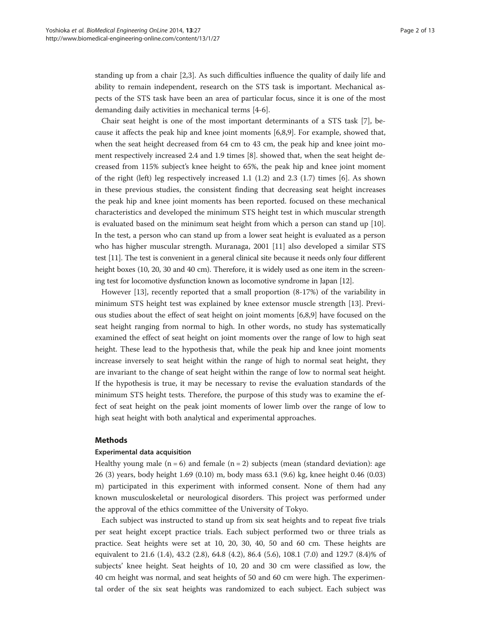standing up from a chair [[2,3\]](#page-11-0). As such difficulties influence the quality of daily life and ability to remain independent, research on the STS task is important. Mechanical aspects of the STS task have been an area of particular focus, since it is one of the most demanding daily activities in mechanical terms [[4-6](#page-11-0)].

Chair seat height is one of the most important determinants of a STS task [\[7](#page-11-0)], because it affects the peak hip and knee joint moments [[6,](#page-11-0)[8,9\]](#page-12-0). For example, showed that, when the seat height decreased from 64 cm to 43 cm, the peak hip and knee joint moment respectively increased 2.4 and 1.9 times [\[8\]](#page-12-0). showed that, when the seat height decreased from 115% subject's knee height to 65%, the peak hip and knee joint moment of the right (left) leg respectively increased 1.1 (1.2) and 2.3 (1.7) times [[6\]](#page-11-0). As shown in these previous studies, the consistent finding that decreasing seat height increases the peak hip and knee joint moments has been reported. focused on these mechanical characteristics and developed the minimum STS height test in which muscular strength is evaluated based on the minimum seat height from which a person can stand up [[10](#page-12-0)]. In the test, a person who can stand up from a lower seat height is evaluated as a person who has higher muscular strength. Muranaga, 2001 [\[11](#page-12-0)] also developed a similar STS test [\[11\]](#page-12-0). The test is convenient in a general clinical site because it needs only four different height boxes (10, 20, 30 and 40 cm). Therefore, it is widely used as one item in the screening test for locomotive dysfunction known as locomotive syndrome in Japan [[12](#page-12-0)].

However [[13\]](#page-12-0), recently reported that a small proportion (8-17%) of the variability in minimum STS height test was explained by knee extensor muscle strength [[13\]](#page-12-0). Previous studies about the effect of seat height on joint moments [[6,](#page-11-0)[8,9\]](#page-12-0) have focused on the seat height ranging from normal to high. In other words, no study has systematically examined the effect of seat height on joint moments over the range of low to high seat height. These lead to the hypothesis that, while the peak hip and knee joint moments increase inversely to seat height within the range of high to normal seat height, they are invariant to the change of seat height within the range of low to normal seat height. If the hypothesis is true, it may be necessary to revise the evaluation standards of the minimum STS height tests. Therefore, the purpose of this study was to examine the effect of seat height on the peak joint moments of lower limb over the range of low to high seat height with both analytical and experimental approaches.

## Methods

#### Experimental data acquisition

Healthy young male ( $n = 6$ ) and female ( $n = 2$ ) subjects (mean (standard deviation): age 26 ([3\)](#page-3-0) years, body height 1.69 (0.10) m, body mass 63.1 (9.6) kg, knee height 0.46 (0.03) m) participated in this experiment with informed consent. None of them had any known musculoskeletal or neurological disorders. This project was performed under the approval of the ethics committee of the University of Tokyo.

Each subject was instructed to stand up from six seat heights and to repeat five trials per seat height except practice trials. Each subject performed two or three trials as practice. Seat heights were set at 10, 20, 30, 40, 50 and 60 cm. These heights are equivalent to 21.6 (1.4), 43.2 (2.8), 64.8 (4.2), 86.4 (5.6), 108.1 (7.0) and 129.7 (8.4)% of subjects' knee height. Seat heights of 10, 20 and 30 cm were classified as low, the 40 cm height was normal, and seat heights of 50 and 60 cm were high. The experimental order of the six seat heights was randomized to each subject. Each subject was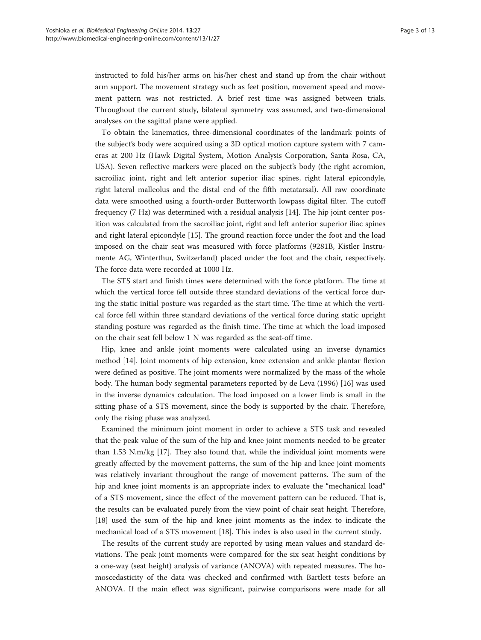instructed to fold his/her arms on his/her chest and stand up from the chair without arm support. The movement strategy such as feet position, movement speed and movement pattern was not restricted. A brief rest time was assigned between trials. Throughout the current study, bilateral symmetry was assumed, and two-dimensional analyses on the sagittal plane were applied.

To obtain the kinematics, three-dimensional coordinates of the landmark points of the subject's body were acquired using a 3D optical motion capture system with 7 cameras at 200 Hz (Hawk Digital System, Motion Analysis Corporation, Santa Rosa, CA, USA). Seven reflective markers were placed on the subject's body (the right acromion, sacroiliac joint, right and left anterior superior iliac spines, right lateral epicondyle, right lateral malleolus and the distal end of the fifth metatarsal). All raw coordinate data were smoothed using a fourth-order Butterworth lowpass digital filter. The cutoff frequency (7 Hz) was determined with a residual analysis [[14\]](#page-12-0). The hip joint center position was calculated from the sacroiliac joint, right and left anterior superior iliac spines and right lateral epicondyle [[15\]](#page-12-0). The ground reaction force under the foot and the load imposed on the chair seat was measured with force platforms (9281B, Kistler Instrumente AG, Winterthur, Switzerland) placed under the foot and the chair, respectively. The force data were recorded at 1000 Hz.

The STS start and finish times were determined with the force platform. The time at which the vertical force fell outside three standard deviations of the vertical force during the static initial posture was regarded as the start time. The time at which the vertical force fell within three standard deviations of the vertical force during static upright standing posture was regarded as the finish time. The time at which the load imposed on the chair seat fell below 1 N was regarded as the seat-off time.

Hip, knee and ankle joint moments were calculated using an inverse dynamics method [\[14](#page-12-0)]. Joint moments of hip extension, knee extension and ankle plantar flexion were defined as positive. The joint moments were normalized by the mass of the whole body. The human body segmental parameters reported by de Leva (1996) [[16\]](#page-12-0) was used in the inverse dynamics calculation. The load imposed on a lower limb is small in the sitting phase of a STS movement, since the body is supported by the chair. Therefore, only the rising phase was analyzed.

Examined the minimum joint moment in order to achieve a STS task and revealed that the peak value of the sum of the hip and knee joint moments needed to be greater than 1.53 N.m/kg [[17](#page-12-0)]. They also found that, while the individual joint moments were greatly affected by the movement patterns, the sum of the hip and knee joint moments was relatively invariant throughout the range of movement patterns. The sum of the hip and knee joint moments is an appropriate index to evaluate the "mechanical load" of a STS movement, since the effect of the movement pattern can be reduced. That is, the results can be evaluated purely from the view point of chair seat height. Therefore, [[18\]](#page-12-0) used the sum of the hip and knee joint moments as the index to indicate the mechanical load of a STS movement [\[18\]](#page-12-0). This index is also used in the current study.

The results of the current study are reported by using mean values and standard deviations. The peak joint moments were compared for the six seat height conditions by a one-way (seat height) analysis of variance (ANOVA) with repeated measures. The homoscedasticity of the data was checked and confirmed with Bartlett tests before an ANOVA. If the main effect was significant, pairwise comparisons were made for all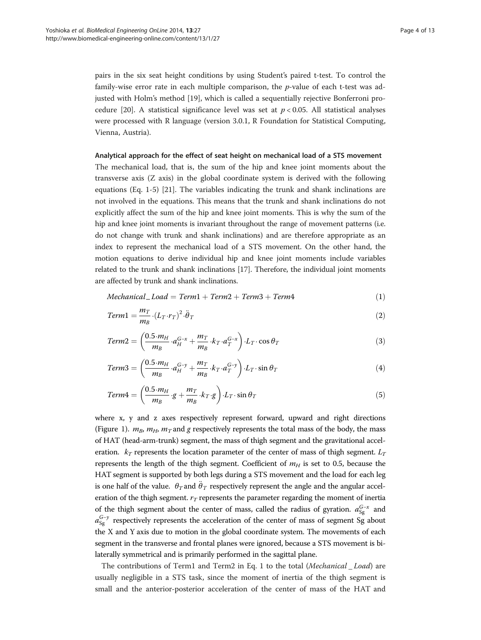<span id="page-3-0"></span>pairs in the six seat height conditions by using Student's paired t-test. To control the family-wise error rate in each multiple comparison, the p-value of each t-test was adjusted with Holm's method [\[19](#page-12-0)], which is called a sequentially rejective Bonferroni pro-cedure [[20](#page-12-0)]. A statistical significance level was set at  $p < 0.05$ . All statistical analyses were processed with R language (version 3.0.1, R Foundation for Statistical Computing, Vienna, Austria).

#### Analytical approach for the effect of seat height on mechanical load of a STS movement

The mechanical load, that is, the sum of the hip and knee joint moments about the transverse axis (Z axis) in the global coordinate system is derived with the following equations (Eq. 1-5) [[21\]](#page-12-0). The variables indicating the trunk and shank inclinations are not involved in the equations. This means that the trunk and shank inclinations do not explicitly affect the sum of the hip and knee joint moments. This is why the sum of the hip and knee joint moments is invariant throughout the range of movement patterns (i.e. do not change with trunk and shank inclinations) and are therefore appropriate as an index to represent the mechanical load of a STS movement. On the other hand, the motion equations to derive individual hip and knee joint moments include variables related to the trunk and shank inclinations [\[17\]](#page-12-0). Therefore, the individual joint moments are affected by trunk and shank inclinations.

 $Mechanical\_Load = Term1 + Term2 + Term3 + Term4$  (1)

$$
Term1 = \frac{m_T}{m_B} \cdot (L_T \cdot r_T)^2 \cdot \ddot{\theta}_T
$$
\n(2)

$$
Term2 = \left(\frac{0.5 \cdot m_H}{m_B} \cdot a_H^{G-x} + \frac{m_T}{m_B} \cdot k_T \cdot a_T^{G-x}\right) \cdot L_T \cdot \cos \theta_T \tag{3}
$$

$$
Term3 = \left(\frac{0.5 \cdot m_H}{m_B} \cdot a_H^{G-y} + \frac{m_T}{m_B} \cdot k_T \cdot a_T^{G-y}\right) \cdot L_T \cdot \sin \theta_T \tag{4}
$$

$$
Term4 = \left(\frac{0.5 \cdot m_H}{m_B} \cdot g + \frac{m_T}{m_B} \cdot k_T \cdot g\right) \cdot L_T \cdot \sin \theta_T \tag{5}
$$

where x, y and z axes respectively represent forward, upward and right directions (Figure [1\)](#page-4-0).  $m_B$ ,  $m_H$ ,  $m_T$  and g respectively represents the total mass of the body, the mass of HAT (head-arm-trunk) segment, the mass of thigh segment and the gravitational acceleration.  $k_T$  represents the location parameter of the center of mass of thigh segment.  $L_T$ represents the length of the thigh segment. Coefficient of  $m_H$  is set to 0.5, because the HAT segment is supported by both legs during a STS movement and the load for each leg is one half of the value.  $\,\theta_T$  and  $\ddot{\theta}_T$  respectively represent the angle and the angular acceleration of the thigh segment.  $r_T$  represents the parameter regarding the moment of inertia of the thigh segment about the center of mass, called the radius of gyration.  $a_{S_g}^{G-x}$  and  $a_{\rm{Sg}}^{G-y}$  respectively represents the acceleration of the center of mass of segment  $\rm{Sg}$  about the X and Y axis due to motion in the global coordinate system. The movements of each segment in the transverse and frontal planes were ignored, because a STS movement is bilaterally symmetrical and is primarily performed in the sagittal plane.

The contributions of Term1 and Term2 in Eq. 1 to the total (Mechanical \_ Load) are usually negligible in a STS task, since the moment of inertia of the thigh segment is small and the anterior-posterior acceleration of the center of mass of the HAT and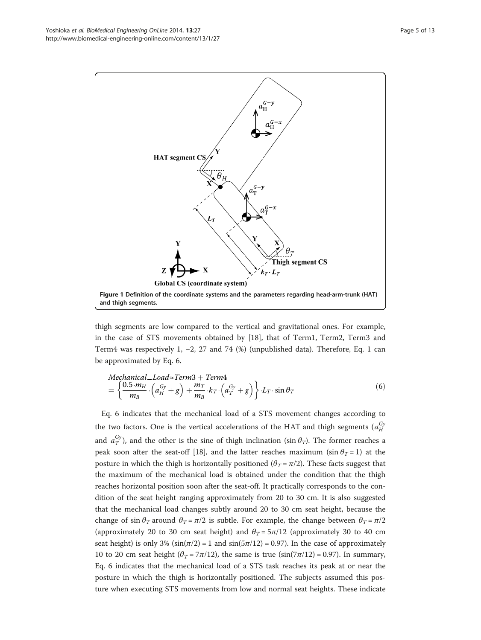<span id="page-4-0"></span>

thigh segments are low compared to the vertical and gravitational ones. For example, in the case of STS movements obtained by [[18](#page-12-0)], that of Term1, Term2, Term3 and Term4 was respectively 1, −2, 27 and 74 (%) (unpublished data). Therefore, Eq. [1](#page-3-0) can be approximated by Eq. 6.

$$
\begin{aligned} \text{Mechanical\_Load} &\approx \text{Term3} + \text{Term4} \\ &= \left\{ \frac{0.5 \cdot m_H}{m_B} \cdot \left( a_H^{Gy} + g \right) + \frac{m_T}{m_B} \cdot k_T \cdot \left( a_T^{Gy} + g \right) \right\} \cdot L_T \cdot \sin \theta_T \end{aligned} \tag{6}
$$

Eq. 6 indicates that the mechanical load of a STS movement changes according to the two factors. One is the vertical accelerations of the HAT and thigh segments  $(a_H^{G_y})$ and  $a_T^{Gy}$ ), and the other is the sine of thigh inclination (sin  $\theta_T$ ). The former reaches a peak soon after the seat-off [\[18\]](#page-12-0), and the latter reaches maximum (sin  $\theta_T = 1$ ) at the posture in which the thigh is horizontally positioned ( $\theta_T = \pi/2$ ). These facts suggest that the maximum of the mechanical load is obtained under the condition that the thigh reaches horizontal position soon after the seat-off. It practically corresponds to the condition of the seat height ranging approximately from 20 to 30 cm. It is also suggested that the mechanical load changes subtly around 20 to 30 cm seat height, because the change of sin  $\theta_T$  around  $\theta_T = \pi/2$  is subtle. For example, the change between  $\theta_T = \pi/2$ (approximately 20 to 30 cm seat height) and  $\theta_T = 5\pi/12$  (approximately 30 to 40 cm seat height) is only 3%  $\left(\sin(\pi/2) = 1 \text{ and } \sin(5\pi/12) = 0.97\right)$ . In the case of approximately 10 to 20 cm seat height ( $\theta_T = 7\pi/12$ ), the same is true (sin(7 $\pi/12$ ) = 0.97). In summary, Eq. 6 indicates that the mechanical load of a STS task reaches its peak at or near the posture in which the thigh is horizontally positioned. The subjects assumed this posture when executing STS movements from low and normal seat heights. These indicate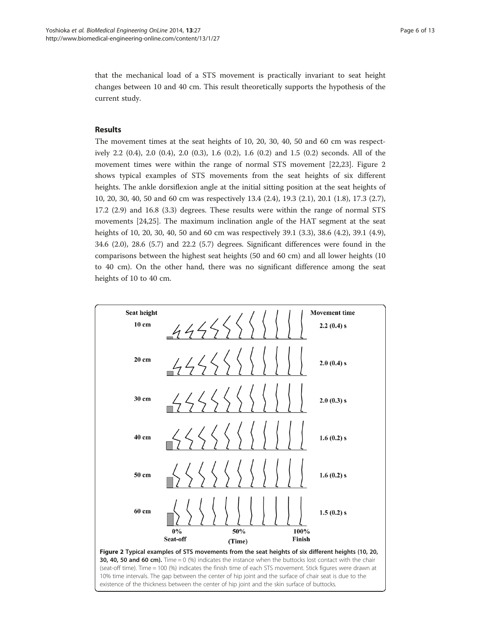that the mechanical load of a STS movement is practically invariant to seat height changes between 10 and 40 cm. This result theoretically supports the hypothesis of the current study.

# Results

The movement times at the seat heights of 10, 20, 30, 40, 50 and 60 cm was respectively 2.2 (0.4), 2.0 (0.4), 2.0 (0.3), 1.6 (0.2), 1.6 (0.2) and 1.5 (0.2) seconds. All of the movement times were within the range of normal STS movement [[22](#page-12-0),[23](#page-12-0)]. Figure 2 shows typical examples of STS movements from the seat heights of six different heights. The ankle dorsiflexion angle at the initial sitting position at the seat heights of 10, 20, 30, 40, 50 and 60 cm was respectively 13.4 (2.4), 19.3 (2.1), 20.1 (1.8), 17.3 (2.7), 17.2 (2.9) and 16.8 (3.3) degrees. These results were within the range of normal STS movements [\[24,25\]](#page-12-0). The maximum inclination angle of the HAT segment at the seat heights of 10, 20, 30, 40, 50 and 60 cm was respectively 39.1 (3.3), 38.6 (4.2), 39.1 (4.9), 34.6 (2.0), 28.6 (5.7) and 22.2 (5.7) degrees. Significant differences were found in the comparisons between the highest seat heights (50 and 60 cm) and all lower heights (10 to 40 cm). On the other hand, there was no significant difference among the seat heights of 10 to 40 cm.

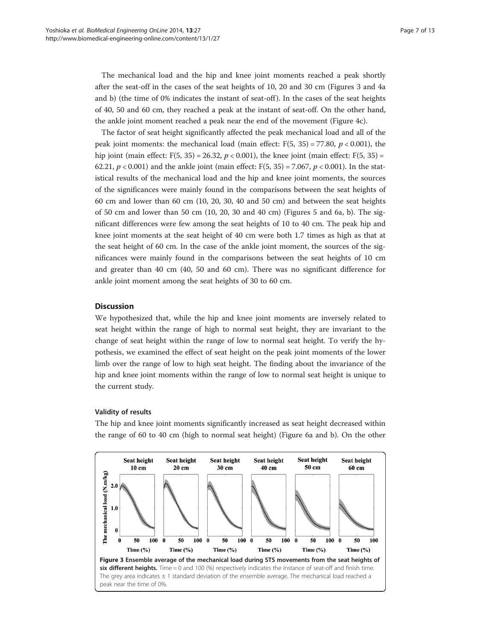The mechanical load and the hip and knee joint moments reached a peak shortly after the seat-off in the cases of the seat heights of 10, 20 and 30 cm (Figures 3 and [4](#page-7-0)a and b) (the time of 0% indicates the instant of seat-off). In the cases of the seat heights of 40, 50 and 60 cm, they reached a peak at the instant of seat-off. On the other hand, the ankle joint moment reached a peak near the end of the movement (Figure [4c](#page-7-0)).

The factor of seat height significantly affected the peak mechanical load and all of the peak joint moments: the mechanical load (main effect:  $F(5, 35) = 77.80$ ,  $p < 0.001$ ), the hip joint (main effect:  $F(5, 35) = 26.32$ ,  $p < 0.001$ ), the knee joint (main effect:  $F(5, 35) =$ 62.21,  $p < 0.001$ ) and the ankle joint (main effect: F(5, 35) = 7.067,  $p < 0.001$ ). In the statistical results of the mechanical load and the hip and knee joint moments, the sources of the significances were mainly found in the comparisons between the seat heights of 60 cm and lower than 60 cm (10, 20, 30, 40 and 50 cm) and between the seat heights of 50 cm and lower than 50 cm (10, 20, 30 and 40 cm) (Figures [5](#page-8-0) and [6](#page-10-0)a, b). The significant differences were few among the seat heights of 10 to 40 cm. The peak hip and knee joint moments at the seat height of 40 cm were both 1.7 times as high as that at the seat height of 60 cm. In the case of the ankle joint moment, the sources of the significances were mainly found in the comparisons between the seat heights of 10 cm and greater than 40 cm (40, 50 and 60 cm). There was no significant difference for ankle joint moment among the seat heights of 30 to 60 cm.

# **Discussion**

We hypothesized that, while the hip and knee joint moments are inversely related to seat height within the range of high to normal seat height, they are invariant to the change of seat height within the range of low to normal seat height. To verify the hypothesis, we examined the effect of seat height on the peak joint moments of the lower limb over the range of low to high seat height. The finding about the invariance of the hip and knee joint moments within the range of low to normal seat height is unique to the current study.

# Validity of results

The hip and knee joint moments significantly increased as seat height decreased within the range of 60 to 40 cm (high to normal seat height) (Figure [6a](#page-10-0) and b). On the other

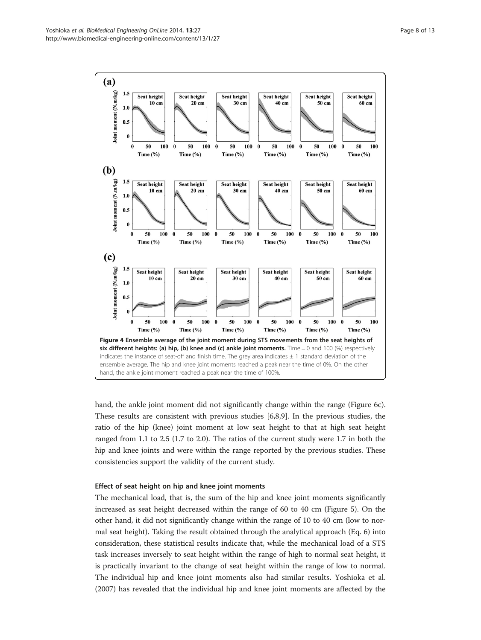<span id="page-7-0"></span>

hand, the ankle joint moment did not significantly change within the range (Figure [6](#page-10-0)c). These results are consistent with previous studies [[6,](#page-11-0)[8,9\]](#page-12-0). In the previous studies, the ratio of the hip (knee) joint moment at low seat height to that at high seat height ranged from 1.1 to 2.5 (1.7 to 2.0). The ratios of the current study were 1.7 in both the hip and knee joints and were within the range reported by the previous studies. These consistencies support the validity of the current study.

# Effect of seat height on hip and knee joint moments

The mechanical load, that is, the sum of the hip and knee joint moments significantly increased as seat height decreased within the range of 60 to 40 cm (Figure [5](#page-8-0)). On the other hand, it did not significantly change within the range of 10 to 40 cm (low to normal seat height). Taking the result obtained through the analytical approach (Eq. [6](#page-4-0)) into consideration, these statistical results indicate that, while the mechanical load of a STS task increases inversely to seat height within the range of high to normal seat height, it is practically invariant to the change of seat height within the range of low to normal. The individual hip and knee joint moments also had similar results. Yoshioka et al. (2007) has revealed that the individual hip and knee joint moments are affected by the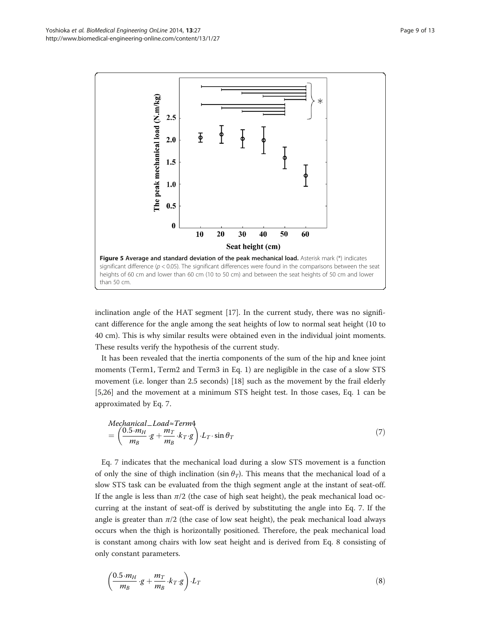<span id="page-8-0"></span>

inclination angle of the HAT segment [[17](#page-12-0)]. In the current study, there was no significant difference for the angle among the seat heights of low to normal seat height (10 to 40 cm). This is why similar results were obtained even in the individual joint moments. These results verify the hypothesis of the current study.

It has been revealed that the inertia components of the sum of the hip and knee joint moments (Term1, Term2 and Term3 in Eq. [1\)](#page-3-0) are negligible in the case of a slow STS movement (i.e. longer than 2.5 seconds) [[18\]](#page-12-0) such as the movement by the frail elderly [[5,](#page-11-0)[26\]](#page-12-0) and the movement at a minimum STS height test. In those cases, Eq. [1](#page-3-0) can be approximated by Eq. 7.

$$
\begin{aligned} \text{Mechanical\_Load} &\approx \text{Term4} \\ &= \left(\frac{0.5 \cdot m_H}{m_B} \cdot g + \frac{m_T}{m_B} \cdot k_T \cdot g\right) \cdot L_T \cdot \sin \theta_T \end{aligned} \tag{7}
$$

Eq. 7 indicates that the mechanical load during a slow STS movement is a function of only the sine of thigh inclination (sin  $\theta_T$ ). This means that the mechanical load of a slow STS task can be evaluated from the thigh segment angle at the instant of seat-off. If the angle is less than  $\pi/2$  (the case of high seat height), the peak mechanical load occurring at the instant of seat-off is derived by substituting the angle into Eq. 7. If the angle is greater than  $\pi/2$  (the case of low seat height), the peak mechanical load always occurs when the thigh is horizontally positioned. Therefore, the peak mechanical load is constant among chairs with low seat height and is derived from Eq. 8 consisting of only constant parameters.

$$
\left(\frac{0.5 \cdot m_H}{m_B} \cdot g + \frac{m_T}{m_B} \cdot k_T \cdot g\right) \cdot L_T \tag{8}
$$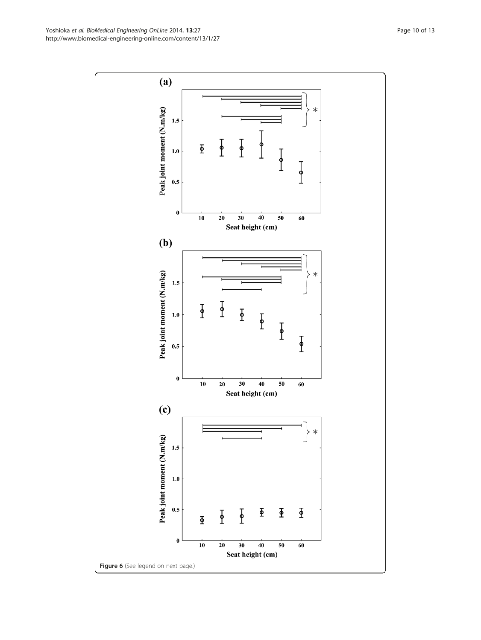Yoshioka et al. BioMedical Engineering OnLine 2014, 13:27 Page 10 of 13 http://www.biomedical-engineering-online.com/content/13/1/27

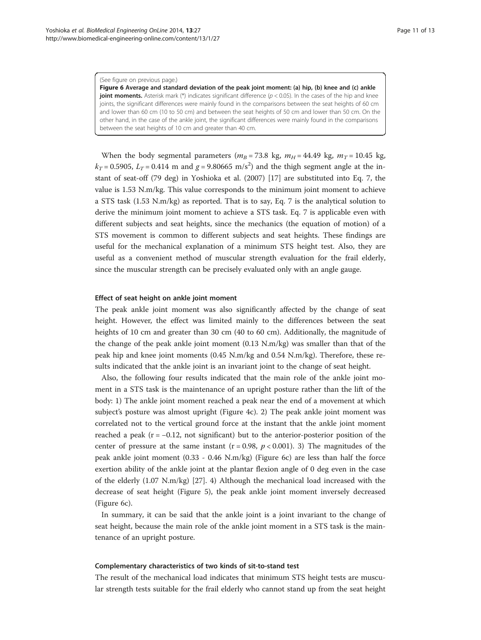#### <span id="page-10-0"></span>(See figure on previous page.)

Figure 6 Average and standard deviation of the peak joint moment: (a) hip, (b) knee and (c) ankle joint moments. Asterisk mark (\*) indicates significant difference ( $p < 0.05$ ). In the cases of the hip and knee joints, the significant differences were mainly found in the comparisons between the seat heights of 60 cm and lower than 60 cm (10 to 50 cm) and between the seat heights of 50 cm and lower than 50 cm. On the other hand, in the case of the ankle joint, the significant differences were mainly found in the comparisons between the seat heights of 10 cm and greater than 40 cm.

When the body segmental parameters ( $m_B = 73.8$  kg,  $m_H = 44.49$  kg,  $m_T = 10.45$  kg,  $k_T$  = 0.5905,  $L_T$  = 0.414 m and g = 9.80665 m/s<sup>2</sup>) and the thigh segment angle at the instant of seat-off (79 deg) in Yoshioka et al. (2007) [\[17](#page-12-0)] are substituted into Eq. [7,](#page-8-0) the value is 1.53 N.m/kg. This value corresponds to the minimum joint moment to achieve a STS task (1.53 N.m/kg) as reported. That is to say, Eq. [7](#page-8-0) is the analytical solution to derive the minimum joint moment to achieve a STS task. Eq. [7](#page-8-0) is applicable even with different subjects and seat heights, since the mechanics (the equation of motion) of a STS movement is common to different subjects and seat heights. These findings are useful for the mechanical explanation of a minimum STS height test. Also, they are useful as a convenient method of muscular strength evaluation for the frail elderly, since the muscular strength can be precisely evaluated only with an angle gauge.

#### Effect of seat height on ankle joint moment

The peak ankle joint moment was also significantly affected by the change of seat height. However, the effect was limited mainly to the differences between the seat heights of 10 cm and greater than 30 cm (40 to 60 cm). Additionally, the magnitude of the change of the peak ankle joint moment (0.13 N.m/kg) was smaller than that of the peak hip and knee joint moments (0.45 N.m/kg and 0.54 N.m/kg). Therefore, these results indicated that the ankle joint is an invariant joint to the change of seat height.

Also, the following four results indicated that the main role of the ankle joint moment in a STS task is the maintenance of an upright posture rather than the lift of the body: 1) The ankle joint moment reached a peak near the end of a movement at which subject's posture was almost upright (Figure [4c](#page-7-0)). 2) The peak ankle joint moment was correlated not to the vertical ground force at the instant that the ankle joint moment reached a peak ( $r = -0.12$ , not significant) but to the anterior-posterior position of the center of pressure at the same instant  $(r = 0.98, p < 0.001)$ . 3) The magnitudes of the peak ankle joint moment (0.33 - 0.46 N.m/kg) (Figure 6c) are less than half the force exertion ability of the ankle joint at the plantar flexion angle of 0 deg even in the case of the elderly (1.07 N.m/kg) [\[27](#page-12-0)]. 4) Although the mechanical load increased with the decrease of seat height (Figure [5](#page-8-0)), the peak ankle joint moment inversely decreased (Figure 6c).

In summary, it can be said that the ankle joint is a joint invariant to the change of seat height, because the main role of the ankle joint moment in a STS task is the maintenance of an upright posture.

## Complementary characteristics of two kinds of sit-to-stand test

The result of the mechanical load indicates that minimum STS height tests are muscular strength tests suitable for the frail elderly who cannot stand up from the seat height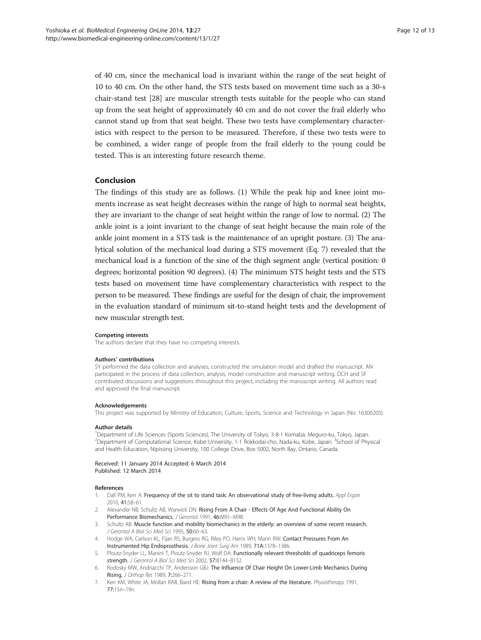<span id="page-11-0"></span>of 40 cm, since the mechanical load is invariant within the range of the seat height of 10 to 40 cm. On the other hand, the STS tests based on movement time such as a 30-s chair-stand test [[28\]](#page-12-0) are muscular strength tests suitable for the people who can stand up from the seat height of approximately 40 cm and do not cover the frail elderly who cannot stand up from that seat height. These two tests have complementary characteristics with respect to the person to be measured. Therefore, if these two tests were to be combined, a wider range of people from the frail elderly to the young could be tested. This is an interesting future research theme.

# Conclusion

The findings of this study are as follows. [\(1\)](#page-3-0) While the peak hip and knee joint moments increase as seat height decreases within the range of high to normal seat heights, they are invariant to the change of seat height within the range of low to normal. ([2\)](#page-3-0) The ankle joint is a joint invariant to the change of seat height because the main role of the ankle joint moment in a STS task is the maintenance of an upright posture. [\(3](#page-3-0)) The analytical solution of the mechanical load during a STS movement (Eq. [7](#page-8-0)) revealed that the mechanical load is a function of the sine of the thigh segment angle (vertical position: 0 degrees; horizontal position 90 degrees). [\(4\)](#page-3-0) The minimum STS height tests and the STS tests based on movement time have complementary characteristics with respect to the person to be measured. These findings are useful for the design of chair, the improvement in the evaluation standard of minimum sit-to-stand height tests and the development of new muscular strength test.

#### Competing interests

The authors declare that they have no competing interests.

#### Authors' contributions

SY performed the data collection and analyses, constructed the simulation model and drafted the manuscript. AN participated in the process of data collection, analysis, model construction and manuscript writing. DCH and SF contributed discussions and suggestions throughout this project, including the manuscript writing. All authors read and approved the final manuscript.

#### Acknowledgements

This project was supported by Ministry of Education, Culture, Sports, Science and Technology in Japan (No: 16300205).

#### Author details

1 Department of Life Sciences (Sports Sciences), The University of Tokyo, 3-8-1 Komaba, Meguro-ku, Tokyo, Japan. <sup>2</sup>Department of Computational Science, Kobe University, 1-1 Rokkodai-cho, Nada-ku, Kobe, Japan. <sup>3</sup>School of Physical and Health Education, Nipissing University, 100 College Drive, Box 5002, North Bay, Ontario, Canada.

#### Received: 11 January 2014 Accepted: 6 March 2014 Published: 12 March 2014

#### References

- 1. Dall PM, Kerr A: Frequency of the sit to stand task: An observational study of free-living adults. Appl Ergon 2010, 41:58–61.
- 2. Alexander NB, Schultz AB, Warwick DN: Rising From A Chair Effects Of Age And Functional Ability On Performance Biomechanics. J Gerontol 1991, 46:M91-M98.
- 3. Schultz AB: Muscle function and mobility biomechanics in the elderly: an overview of some recent research. J Gerontol A Biol Sci Med Sci 1995, 50:60–63.
- 4. Hodge WA, Carlson KL, Fijan RS, Burgess RG, Riley PO, Harris WH, Mann RW: Contact Pressures From An Instrumented Hip Endoprosthesis. J Bone Joint Surg Am 1989, 71A:1378–1386.
- 5. Ploutz-Snyder LL, Manini T, Ploutz-Snyder RJ, Wolf DA: Functionally relevant thresholds of quadriceps femoris strength. J Gerontol A Biol Sci Med Sci 2002, 57:B144-B152.
- 6. Rodosky MW, Andriacchi TP, Andersson GBJ: The Influence Of Chair Height On Lower-Limb Mechanics During Rising. J Orthop Res 1989, 7:266–271.
- 7. Kerr KM, White JA, Mollan RAB, Baird HE: Rising from a chair: A review of the literature. Physiotherapy 1991, 77:15n–19n.